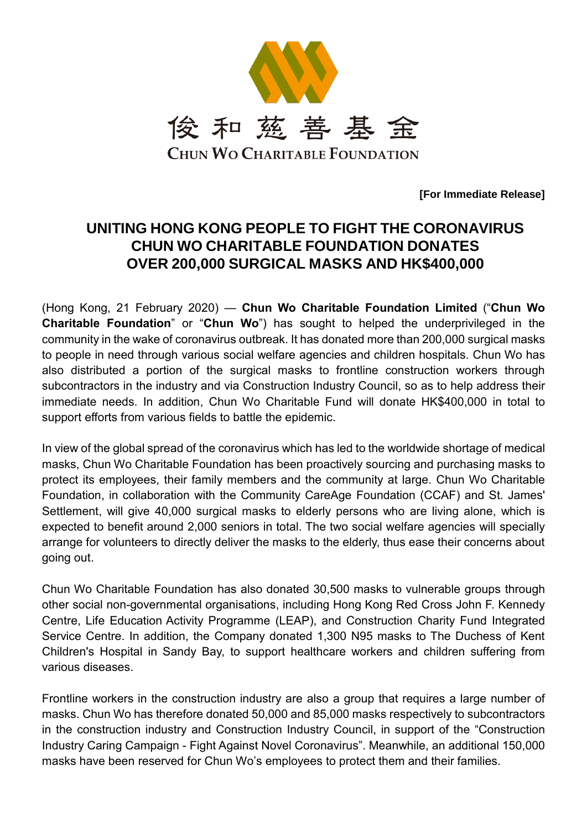

**[For Immediate Release]**

## **UNITING HONG KONG PEOPLE TO FIGHT THE CORONAVIRUS CHUN WO CHARITABLE FOUNDATION DONATES OVER 200,000 SURGICAL MASKS AND HK\$400,000**

(Hong Kong, 21 February 2020) — **Chun Wo Charitable Foundation Limited** ("**Chun Wo Charitable Foundation**" or "**Chun Wo**") has sought to helped the underprivileged in the community in the wake of coronavirus outbreak. It has donated more than 200,000 surgical masks to people in need through various social welfare agencies and children hospitals. Chun Wo has also distributed a portion of the surgical masks to frontline construction workers through subcontractors in the industry and via Construction Industry Council, so as to help address their immediate needs. In addition, Chun Wo Charitable Fund will donate HK\$400,000 in total to support efforts from various fields to battle the epidemic.

In view of the global spread of the coronavirus which has led to the worldwide shortage of medical masks, Chun Wo Charitable Foundation has been proactively sourcing and purchasing masks to protect its employees, their family members and the community at large. Chun Wo Charitable Foundation, in collaboration with the Community CareAge Foundation (CCAF) and St. James' Settlement, will give 40,000 surgical masks to elderly persons who are living alone, which is expected to benefit around 2,000 seniors in total. The two social welfare agencies will specially arrange for volunteers to directly deliver the masks to the elderly, thus ease their concerns about going out.

Chun Wo Charitable Foundation has also donated 30,500 masks to vulnerable groups through other social non-governmental organisations, including Hong Kong Red Cross John F. Kennedy Centre, Life Education Activity Programme (LEAP), and Construction Charity Fund Integrated Service Centre. In addition, the Company donated 1,300 N95 masks to The Duchess of Kent Children's Hospital in Sandy Bay, to support healthcare workers and children suffering from various diseases.

Frontline workers in the construction industry are also a group that requires a large number of masks. Chun Wo has therefore donated 50,000 and 85,000 masks respectively to subcontractors in the construction industry and Construction Industry Council, in support of the "Construction Industry Caring Campaign - Fight Against Novel Coronavirus". Meanwhile, an additional 150,000 masks have been reserved for Chun Wo's employees to protect them and their families.